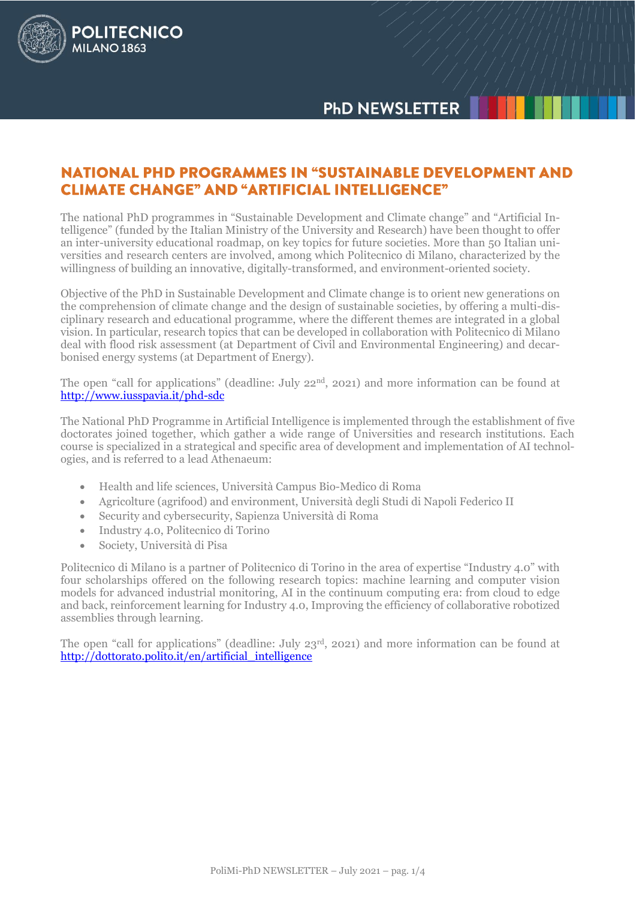# **PhD NEWSLETTER**



The national PhD programmes in "Sustainable Development and Climate change" and "Artificial Intelligence" (funded by the Italian Ministry of the University and Research) have been thought to offer an inter-university educational roadmap, on key topics for future societies. More than 50 Italian universities and research centers are involved, among which Politecnico di Milano, characterized by the willingness of building an innovative, digitally-transformed, and environment-oriented society.

Objective of the PhD in Sustainable Development and Climate change is to orient new generations on the comprehension of climate change and the design of sustainable societies, by offering a multi-disciplinary research and educational programme, where the different themes are integrated in a global vision. In particular, research topics that can be developed in collaboration with Politecnico di Milano deal with flood risk assessment (at Department of Civil and Environmental Engineering) and decarbonised energy systems (at Department of Energy).

The open "call for applications" (deadline: July 22nd, 2021) and more information can be found at <http://www.iusspavia.it/phd-sdc>

The National PhD Programme in Artificial Intelligence is implemented through the establishment of five doctorates joined together, which gather a wide range of Universities and research institutions. Each course is specialized in a strategical and specific area of development and implementation of AI technologies, and is referred to a lead Athenaeum:

- Health and life sciences, Università Campus Bio-Medico di Roma
- Agricolture (agrifood) and environment, Università degli Studi di Napoli Federico II
- Security and cybersecurity, Sapienza Università di Roma
- Industry 4.0, Politecnico di Torino
- Society, Università di Pisa

**POLITECNICO** 

**MILANO 1863** 

Politecnico di Milano is a partner of Politecnico di Torino in the area of expertise "Industry 4.0" with four scholarships offered on the following research topics: machine learning and computer vision models for advanced industrial monitoring, AI in the continuum computing era: from cloud to edge and back, reinforcement learning for Industry 4.0, Improving the efficiency of collaborative robotized assemblies through learning.

The open "call for applications" (deadline: July 23rd, 2021) and more information can be found at http://dottorato.polito.it/en/artificial intelligence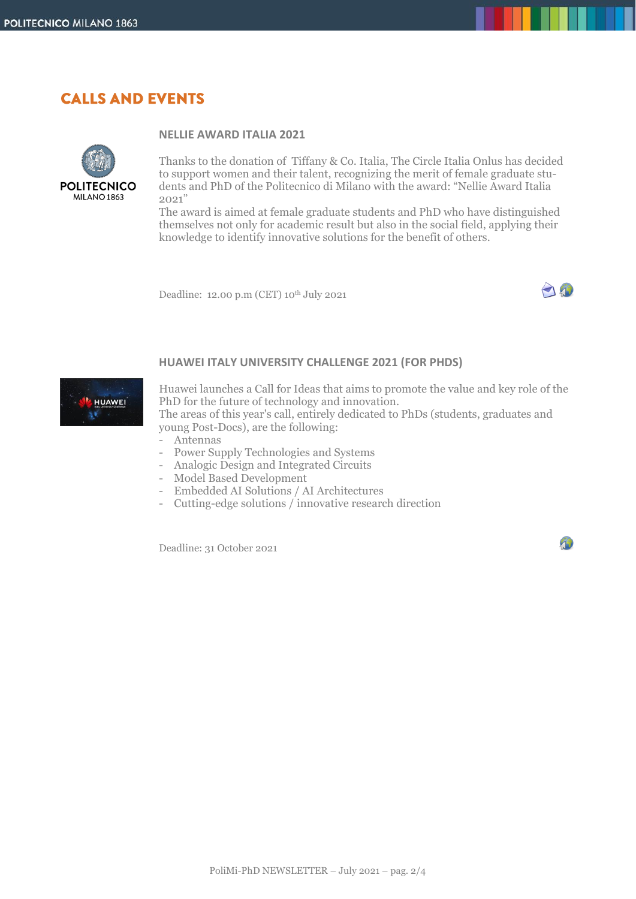### **CALLS AND EVENTS**



#### **NELLIE AWARD ITALIA 2021**

Thanks to the donation of Tiffany & Co. Italia, The Circle Italia Onlus has decided to support women and their talent, recognizing the merit of female graduate students and PhD of the Politecnico di Milano with the award: "Nellie Award Italia 2021"

The award is aimed at female graduate students and PhD who have distinguished themselves not only for academic result but also in the social field, applying their knowledge to identify innovative solutions for the benefit of others.

Deadline: 12.00 p.m (CET) 10th July 2021



4

#### **HUAWEI ITALY UNIVERSITY CHALLENGE 2021 (FOR PHDS)**



Huawei launches a Call for Ideas that aims to promote the value and key role of the PhD for the future of technology and innovation. The areas of this year's call, entirely dedicated to PhDs (students, graduates and young Post-Docs), are the following:

- Antennas
- Power Supply Technologies and Systems
- Analogic Design and Integrated Circuits
- Model Based Development
- Embedded AI Solutions / AI Architectures
- Cutting-edge solutions / innovative research direction

Deadline: 31 October 2021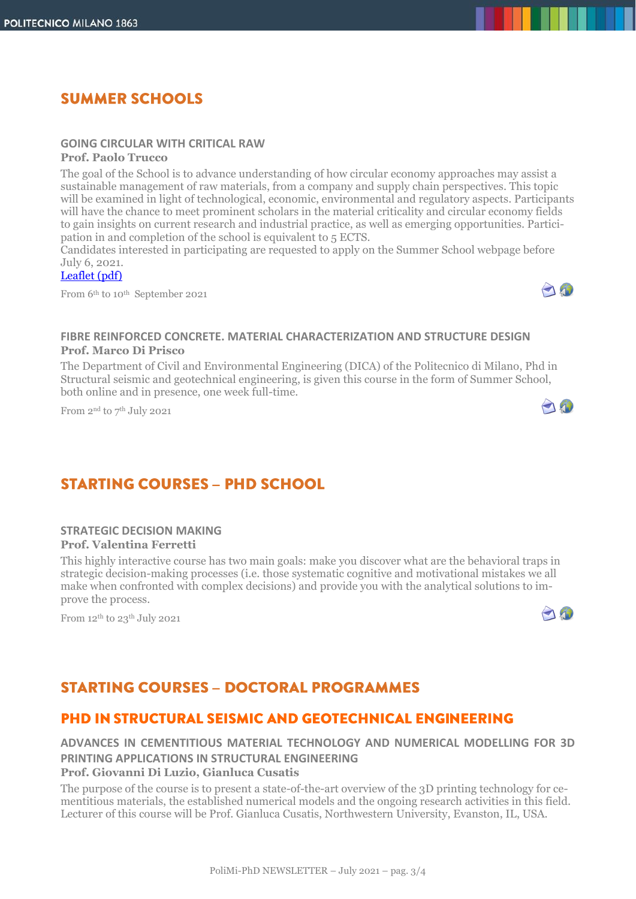# **SUMMER SCHOOLS**

### **GOING CIRCULAR WITH CRITICAL RAW**

**Prof. Paolo Trucco**

The goal of the School is to advance understanding of how circular economy approaches may assist a sustainable management of raw materials, from a company and supply chain perspectives. This topic will be examined in light of technological, economic, environmental and regulatory aspects. Participants will have the chance to meet prominent scholars in the material criticality and circular economy fields to gain insights on current research and industrial practice, as well as emerging opportunities. Participation in and completion of the school is equivalent to 5 ECTS.

Candidates interested in participating are requested to apply on the Summer School webpage before July 6, 2021.

#### [Leaflet](https://gcrm.lakecomoschool.org/files/2019/11/Flyer-Going-Circular-with-Critical-Raw-Materials.pdf) (pdf)

From 6<sup>th</sup> to 10<sup>th</sup> September 2021



 $\bigcap_{i=1}^n$ 

#### **FIBRE REINFORCED CONCRETE. MATERIAL CHARACTERIZATION AND STRUCTURE DESIGN Prof. Marco Di Prisco**

The Department of Civil and Environmental Engineering (DICA) of the Politecnico di Milano, Phd in Structural seismic and geotechnical engineering, is given this course in the form of Summer School, both online and in presence, one week full-time.

From 2<sup>nd</sup> to 7<sup>th</sup> July 2021

## **STARTING COURSES - PHD SCHOOL**

#### **STRATEGIC DECISION MAKING Prof. Valentina Ferretti**

This highly interactive course has two main goals: make you discover what are the behavioral traps in strategic decision-making processes (i.e. those systematic cognitive and motivational mistakes we all make when confronted with complex decisions) and provide you with the analytical solutions to improve the process.

From 12th to 23th July 2021



# **STARTING COURSES - DOCTORAL PROGRAMMES**

## PHD IN STRUCTURAL SEISMIC AND GEOTECHNICAL ENGINEERING

#### **ADVANCES IN CEMENTITIOUS MATERIAL TECHNOLOGY AND NUMERICAL MODELLING FOR 3D PRINTING APPLICATIONS IN STRUCTURAL ENGINEERING Prof. Giovanni Di Luzio, Gianluca Cusatis**

The purpose of the course is to present a state-of-the-art overview of the 3D printing technology for cementitious materials, the established numerical models and the ongoing research activities in this field. Lecturer of this course will be Prof. Gianluca Cusatis, Northwestern University, Evanston, IL, USA.